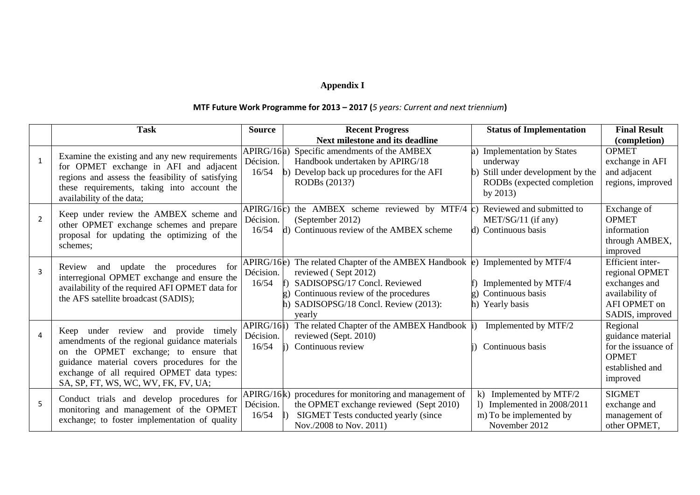## **Appendix I**

## **MTF Future Work Programme for 2013 – 2017 (***5 years: Current and next triennium***)**

|                | <b>Task</b>                                                                                                                                                                                                                                                              | <b>Source</b>                    | <b>Recent Progress</b>                                                                                                                                                                                       | <b>Status of Implementation</b>                                                                                              | <b>Final Result</b>                                                                                       |
|----------------|--------------------------------------------------------------------------------------------------------------------------------------------------------------------------------------------------------------------------------------------------------------------------|----------------------------------|--------------------------------------------------------------------------------------------------------------------------------------------------------------------------------------------------------------|------------------------------------------------------------------------------------------------------------------------------|-----------------------------------------------------------------------------------------------------------|
|                |                                                                                                                                                                                                                                                                          |                                  | <b>Next milestone and its deadline</b>                                                                                                                                                                       |                                                                                                                              | (completion)                                                                                              |
| $\mathbf{1}$   | Examine the existing and any new requirements<br>for OPMET exchange in AFI and adjacent<br>regions and assess the feasibility of satisfying<br>these requirements, taking into account the<br>availability of the data;                                                  | APIRG/16a)<br>Décision.<br>16/54 | Specific amendments of the AMBEX<br>Handbook undertaken by APIRG/18<br>Develop back up procedures for the AFI<br>RODBs (2013?)                                                                               | a) Implementation by States<br>underway<br>Still under development by the<br>b)<br>RODBs (expected completion<br>by $2013$ ) | <b>OPMET</b><br>exchange in AFI<br>and adjacent<br>regions, improved                                      |
| $\overline{2}$ | Keep under review the AMBEX scheme and<br>other OPMET exchange schemes and prepare<br>proposal for updating the optimizing of the<br>schemes;                                                                                                                            | APIRG/16c)<br>Décision.<br>16/54 | the AMBEX scheme reviewed by MTF/4 $\epsilon$ )<br>(September 2012)<br>Continuous review of the AMBEX scheme<br>R)                                                                                           | Reviewed and submitted to<br>$MET/SG/11$ (if any)<br>d) Continuous basis                                                     | Exchange of<br><b>OPMET</b><br>information<br>through AMBEX,<br>improved                                  |
| 3              | update<br>the<br>procedures<br>for<br>Review<br>and<br>interregional OPMET exchange and ensure the<br>availability of the required AFI OPMET data for<br>the AFS satellite broadcast (SADIS);                                                                            | APIRG/16e)<br>Décision.<br>16/54 | The related Chapter of the AMBEX Handbook $(e)$<br>reviewed (Sept 2012)<br>SADISOPSG/17 Concl. Reviewed<br>Continuous review of the procedures<br>$\sigma$ )<br>SADISOPSG/18 Concl. Review (2013):<br>vearly | Implemented by MTF/4<br>Implemented by MTF/4<br>Continuous basis<br>$\sigma$ )<br>Yearly basis<br>h)                         | Efficient inter-<br>regional OPMET<br>exchanges and<br>availability of<br>AFI OPMET on<br>SADIS, improved |
| 4              | Keep under review and<br>provide<br>timely<br>amendments of the regional guidance materials<br>on the OPMET exchange; to ensure that<br>guidance material covers procedures for the<br>exchange of all required OPMET data types:<br>SA, SP, FT, WS, WC, WV, FK, FV, UA; | APIRG/16i)<br>Décision.<br>16/54 | The related Chapter of the AMBEX Handbook i)<br>reviewed (Sept. 2010)<br>Continuous review                                                                                                                   | Implemented by MTF/2<br>Continuous basis                                                                                     | Regional<br>guidance material<br>for the issuance of<br><b>OPMET</b><br>established and<br>improved       |
| 5              | Conduct trials and develop procedures for<br>monitoring and management of the OPMET<br>exchange; to foster implementation of quality                                                                                                                                     | APIRG/16k)<br>Décision.<br>16/54 | procedures for monitoring and management of<br>the OPMET exchange reviewed (Sept 2010)<br>SIGMET Tests conducted yearly (since<br>Nov./2008 to Nov. 2011)                                                    | k) Implemented by MTF/2<br>1) Implemented in $2008/2011$<br>m) To be implemented by<br>November 2012                         | <b>SIGMET</b><br>exchange and<br>management of<br>other OPMET,                                            |